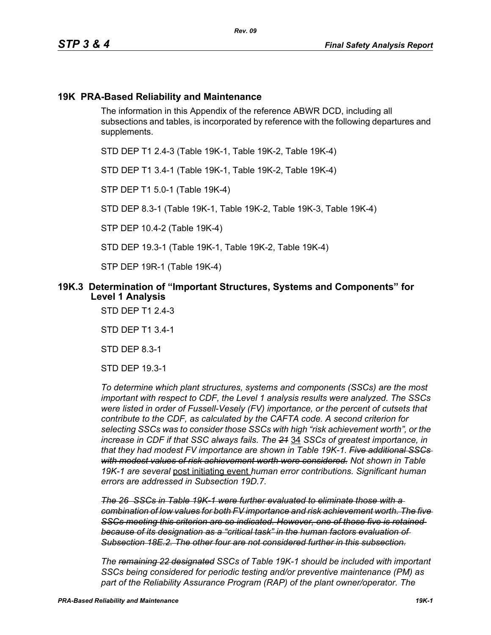# **19K PRA-Based Reliability and Maintenance**

The information in this Appendix of the reference ABWR DCD, including all subsections and tables, is incorporated by reference with the following departures and supplements.

STD DEP T1 2.4-3 (Table 19K-1, Table 19K-2, Table 19K-4)

STD DEP T1 3.4-1 (Table 19K-1, Table 19K-2, Table 19K-4)

STP DEP T1 5.0-1 (Table 19K-4)

STD DEP 8.3-1 (Table 19K-1, Table 19K-2, Table 19K-3, Table 19K-4)

STP DEP 10.4-2 (Table 19K-4)

STD DEP 19.3-1 (Table 19K-1, Table 19K-2, Table 19K-4)

STP DEP 19R-1 (Table 19K-4)

### **19K.3 Determination of "Important Structures, Systems and Components" for Level 1 Analysis**

STD DEP T1 2.4-3

STD DEP T1 3.4-1

STD DEP 8.3-1

STD DEP 19.3-1

*To determine which plant structures, systems and components (SSCs) are the most important with respect to CDF, the Level 1 analysis results were analyzed. The SSCs were listed in order of Fussell-Vesely (FV) importance, or the percent of cutsets that contribute to the CDF, as calculated by the CAFTA code. A second criterion for selecting SSCs was to consider those SSCs with high "risk achievement worth", or the increase in CDF if that SSC always fails. The 21* 34 *SSCs of greatest importance, in that they had modest FV importance are shown in Table 19K-1. Five additional SSCs with modest values of risk achievement worth were considered. Not shown in Table 19K-1 are several* post initiating event *human error contributions. Significant human errors are addressed in Subsection 19D.7.*

*The 26 SSCs in Table 19K-1 were further evaluated to eliminate those with a combination of low values for both FV importance and risk achievement worth. The five SSCs meeting this criterion are so indicated. However, one of those five is retained because of its designation as a "critical task" in the human factors evaluation of Subsection 18E.2. The other four are not considered further in this subsection.*

*The remaining 22 designated SSCs of Table 19K-1 should be included with important SSCs being considered for periodic testing and/or preventive maintenance (PM) as part of the Reliability Assurance Program (RAP) of the plant owner/operator. The*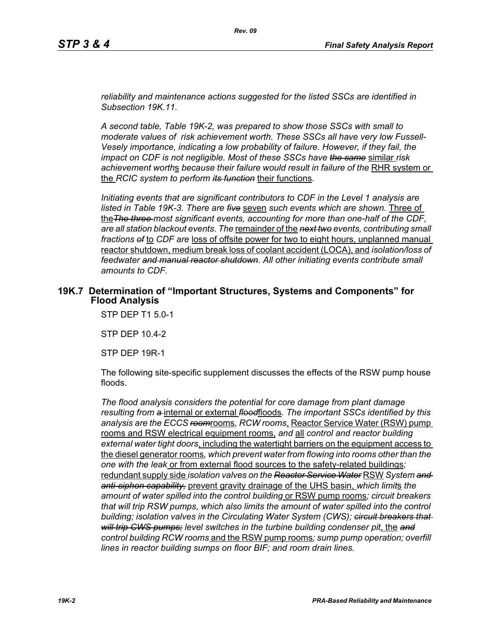*reliability and maintenance actions suggested for the listed SSCs are identified in Subsection 19K.11.*

*A second table, Table 19K-2, was prepared to show those SSCs with small to moderate values of risk achievement worth. These SSCs all have very low Fussell-Vesely importance, indicating a low probability of failure. However, if they fail, the impact on CDF is not negligible. Most of these SSCs have the same* similar *risk achievement worth*s *because their failure would result in failure of the* RHR system or the *RCIC system to perform its function* their functions*.*

*Initiating events that are significant contributors to CDF in the Level 1 analysis are listed in Table 19K-3. There are five* seven *such events which are shown.* Three of the*The three most significant events, accounting for more than one-half of the CDF, are all station blackout events*. *The* remainder of the *next two events, contributing small fractions of* to *CDF are* loss of offsite power for two to eight hours, unplanned manual reactor shutdown, medium break loss of coolant accident (LOCA), and *isolation/loss of feedwater and manual reactor shutdown*. *All other initiating events contribute small amounts to CDF.*

#### **19K.7 Determination of "Important Structures, Systems and Components" for Flood Analysis**

STP DEP T1 5.0-1

STP DEP 10.4-2

STP DEP 19R-1

The following site-specific supplement discusses the effects of the RSW pump house floods.

*The flood analysis considers the potential for core damage from plant damage resulting from a* internal or external *flood*floods*. The important SSCs identified by this analysis are the ECCS room*rooms*, RCW rooms*, Reactor Service Water (RSW) pump rooms and RSW electrical equipment rooms, *and* all *control and reactor building external water tight doors*, including the watertight barriers on the equipment access to the diesel generator rooms*, which prevent water from flowing into rooms other than the one with the leak* or from external flood sources to the safety-related buildings*;*  redundant supply side *isolation valves on the Reactor Service Water* RSW *System and anti-siphon capability,* prevent gravity drainage of the UHS basin, *which limit*s *the amount of water spilled into the control building* or RSW pump rooms*; circuit breakers that will trip RSW pumps, which also limits the amount of water spilled into the control building; isolation valves in the Circulating Water System (CWS); circuit breakers that will trip CWS pumps; level switches in the turbine building condenser pit*, the *and control building RCW rooms* and the RSW pump rooms*; sump pump operation; overfill lines in reactor building sumps on floor BIF; and room drain lines.*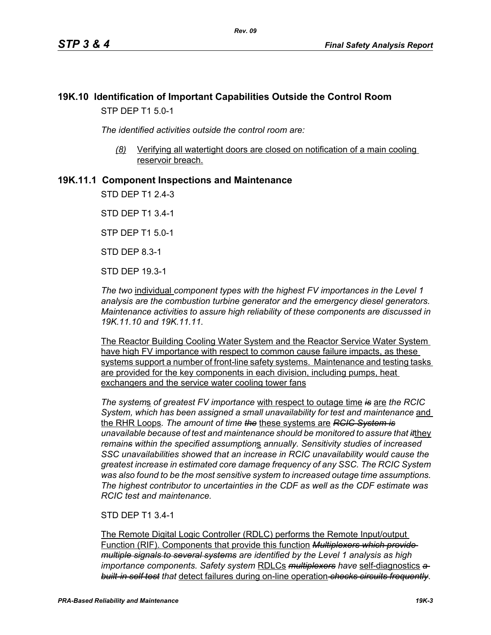# **19K.10 Identification of Important Capabilities Outside the Control Room** STP DEP T1 5.0-1

*The identified activities outside the control room are:*

*(8)* Verifying all watertight doors are closed on notification of a main cooling reservoir breach.

# **19K.11.1 Component Inspections and Maintenance**

STD DEP T1 2.4-3

STD DEP T1 3.4-1

STP DEP T1 5.0-1

STD DEP 8.3-1

STD DEP 19.3-1

*The two* individual *component types with the highest FV importances in the Level 1 analysis are the combustion turbine generator and the emergency diesel generators. Maintenance activities to assure high reliability of these components are discussed in 19K.11.10 and 19K.11.11.*

The Reactor Building Cooling Water System and the Reactor Service Water System have high FV importance with respect to common cause failure impacts, as these systems support a number of front-line safety systems. Maintenance and testing tasks are provided for the key components in each division, including pumps, heat exchangers and the service water cooling tower fans

*The system*s *of greatest FV importance* with respect to outage time *is* are *the RCIC System, which has been assigned a small unavailability for test and maintenance* and the RHR Loops*. The amount of time the* these systems are *RCIC System is unavailable because of test and maintenance should be monitored to assure that it*they *remains within the specified assumption*s *annually. Sensitivity studies of increased SSC unavailabilities showed that an increase in RCIC unavailability would cause the greatest increase in estimated core damage frequency of any SSC. The RCIC System was also found to be the most sensitive system to increased outage time assumptions. The highest contributor to uncertainties in the CDF as well as the CDF estimate was RCIC test and maintenance.*

#### STD DEP T1 3.4-1

The Remote Digital Logic Controller (RDLC) performs the Remote Input/output Function (RIF). Components that provide this function *Multiplexers which provide multiple signals to several systems are identified by the Level 1 analysis as high importance components. Safety system* RDLCs *multiplexers have* self-diagnostics *a built-in self test that* detect failures during on-line operation *checks circuits frequently*.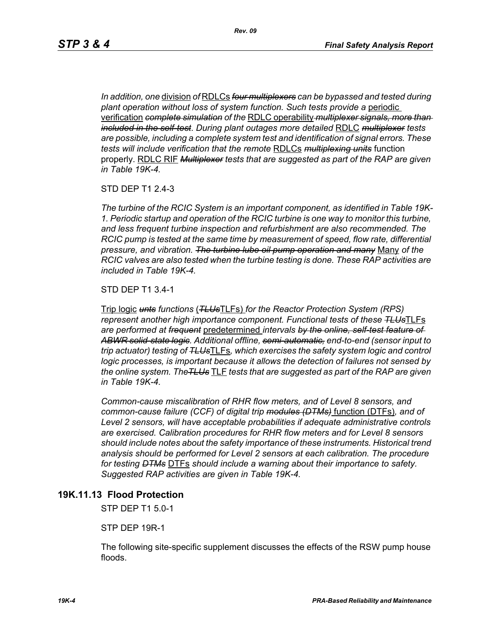*In addition, one* division *of* RDLCs *four multiplexers can be bypassed and tested during plant operation without loss of system function. Such tests provide a* periodic verification *complete simulation of the* RDLC operability *multiplexer signals, more than included in the self-test*. *During plant outages more detailed* RDLC *multiplexer tests are possible, including a complete system test and identification of signal errors. These tests will include verification that the remote* RDLCs *multiplexing units* function properly. RDLC RIF *Multiplexer tests that are suggested as part of the RAP are given in Table 19K-4.*

STD DEP T1 2.4-3

*The turbine of the RCIC System is an important component, as identified in Table 19K-1. Periodic startup and operation of the RCIC turbine is one way to monitor this turbine, and less frequent turbine inspection and refurbishment are also recommended. The RCIC pump is tested at the same time by measurement of speed, flow rate, differential pressure, and vibration. The turbine lube oil pump operation and many* Many *of the RCIC valves are also tested when the turbine testing is done. These RAP activities are included in Table 19K-4.*

STD DEP T1 3.4-1

Trip logic *unts functions* (*TLUs*TLFs) *for the Reactor Protection System (RPS) represent another high importance component. Functional tests of these TLUs*TLFs *are performed at frequent* predetermined *intervals by the online, self-test feature of ABWR solid-state logic. Additional offline, semi-automatic, end-to-end (sensor input to trip actuator) testing of TLUs*TLFs*, which exercises the safety system logic and control logic processes, is important because it allows the detection of failures not sensed by the online system. TheTLUs* TLF *tests that are suggested as part of the RAP are given in Table 19K-4.* 

*Common-cause miscalibration of RHR flow meters, and of Level 8 sensors, and common-cause failure (CCF) of digital trip modules (DTMs)* function (DTFs)*, and of Level 2 sensors, will have acceptable probabilities if adequate administrative controls are exercised. Calibration procedures for RHR flow meters and for Level 8 sensors should include notes about the safety importance of these instruments. Historical trend analysis should be performed for Level 2 sensors at each calibration. The procedure for testing DTMs* DTFs *should include a warning about their importance to safety. Suggested RAP activities are given in Table 19K-4.*

#### **19K.11.13 Flood Protection**

STP DEP T1 5.0-1

STP DEP 19R-1

The following site-specific supplement discusses the effects of the RSW pump house floods.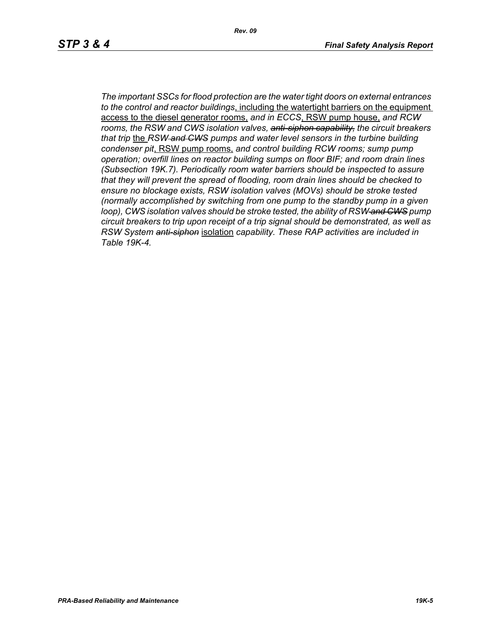*Rev. 09*

*The important SSCs for flood protection are the water tight doors on external entrances to the control and reactor buildings*, including the watertight barriers on the equipment access to the diesel generator rooms, *and in ECCS*, RSW pump house, *and RCW rooms, the RSW and CWS isolation valves, anti-siphon capability, the circuit breakers that trip* the *RSW and CWS pumps and water level sensors in the turbine building condenser pit*, RSW pump rooms, *and control building RCW rooms; sump pump operation; overfill lines on reactor building sumps on floor BIF; and room drain lines (Subsection 19K.7). Periodically room water barriers should be inspected to assure that they will prevent the spread of flooding, room drain lines should be checked to ensure no blockage exists, RSW isolation valves (MOVs) should be stroke tested (normally accomplished by switching from one pump to the standby pump in a given loop), CWS isolation valves should be stroke tested, the ability of RSW and CWS pump circuit breakers to trip upon receipt of a trip signal should be demonstrated, as well as RSW System anti-siphon* isolation *capability. These RAP activities are included in Table 19K-4.*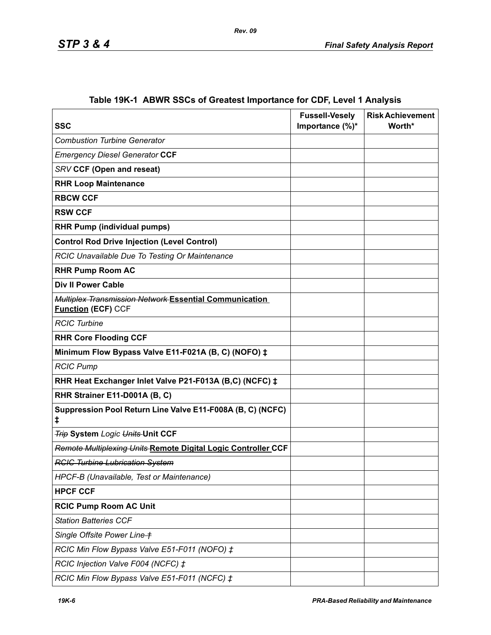| <b>SSC</b>                                                                          | <b>Fussell-Vesely</b><br>Importance (%)* | <b>Risk Achievement</b><br>Worth* |
|-------------------------------------------------------------------------------------|------------------------------------------|-----------------------------------|
| <b>Combustion Turbine Generator</b>                                                 |                                          |                                   |
| <b>Emergency Diesel Generator CCF</b>                                               |                                          |                                   |
| <b>SRV CCF (Open and reseat)</b>                                                    |                                          |                                   |
| <b>RHR Loop Maintenance</b>                                                         |                                          |                                   |
| <b>RBCW CCF</b>                                                                     |                                          |                                   |
| <b>RSW CCF</b>                                                                      |                                          |                                   |
| <b>RHR Pump (individual pumps)</b>                                                  |                                          |                                   |
| <b>Control Rod Drive Injection (Level Control)</b>                                  |                                          |                                   |
| RCIC Unavailable Due To Testing Or Maintenance                                      |                                          |                                   |
| <b>RHR Pump Room AC</b>                                                             |                                          |                                   |
| <b>Div II Power Cable</b>                                                           |                                          |                                   |
| Multiplex Transmission Network Essential Communication<br><b>Function (ECF) CCF</b> |                                          |                                   |
| <b>RCIC Turbine</b>                                                                 |                                          |                                   |
| <b>RHR Core Flooding CCF</b>                                                        |                                          |                                   |
| Minimum Flow Bypass Valve E11-F021A (B, C) (NOFO) ‡                                 |                                          |                                   |
| <b>RCIC Pump</b>                                                                    |                                          |                                   |
| RHR Heat Exchanger Inlet Valve P21-F013A (B,C) (NCFC) ‡                             |                                          |                                   |
| RHR Strainer E11-D001A (B, C)                                                       |                                          |                                   |
| Suppression Pool Return Line Valve E11-F008A (B, C) (NCFC)<br>‡.                    |                                          |                                   |
| <b>Trip System Logic Units Unit CCF</b>                                             |                                          |                                   |
| Remote Multiplexing Units Remote Digital Logic Controller CCF                       |                                          |                                   |
| <b>RCIC Turbine Lubrication System</b>                                              |                                          |                                   |
| HPCF-B (Unavailable, Test or Maintenance)                                           |                                          |                                   |
| <b>HPCF CCF</b>                                                                     |                                          |                                   |
| <b>RCIC Pump Room AC Unit</b>                                                       |                                          |                                   |
| <b>Station Batteries CCF</b>                                                        |                                          |                                   |
| Single Offsite Power Line +                                                         |                                          |                                   |
| RCIC Min Flow Bypass Valve E51-F011 (NOFO) ‡                                        |                                          |                                   |
| RCIC Injection Valve F004 (NCFC) ‡                                                  |                                          |                                   |
| RCIC Min Flow Bypass Valve E51-F011 (NCFC) ‡                                        |                                          |                                   |

# **Table 19K-1 ABWR SSCs of Greatest Importance for CDF, Level 1 Analysis**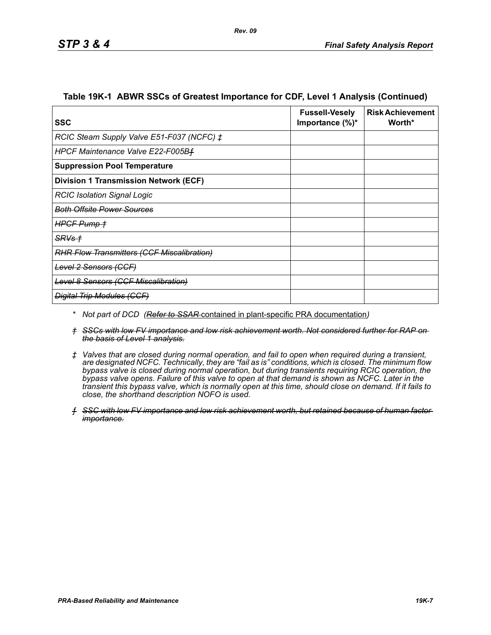| SSC                                               | <b>Fussell-Vesely</b><br>Importance $(\%)^*$ | <b>Risk Achievement</b><br>Worth* |
|---------------------------------------------------|----------------------------------------------|-----------------------------------|
| RCIC Steam Supply Valve E51-F037 (NCFC) ‡         |                                              |                                   |
| HPCF Maintenance Valve E22-F005Bf                 |                                              |                                   |
| <b>Suppression Pool Temperature</b>               |                                              |                                   |
| <b>Division 1 Transmission Network (ECF)</b>      |                                              |                                   |
| <b>RCIC Isolation Signal Logic</b>                |                                              |                                   |
| <del>Both Offsite Power Sources</del>             |                                              |                                   |
| HPGF Pump +                                       |                                              |                                   |
| <del>SRVs †</del>                                 |                                              |                                   |
| <b>RHR Flow Transmitters (CCF Miscalibration)</b> |                                              |                                   |
| Level 2 Sensors (CCF)                             |                                              |                                   |
| <b>Level 8 Sensors (CCF Miscalibration)</b>       |                                              |                                   |
| <b>Digital Trip Modules (CCF)</b>                 |                                              |                                   |

#### **Table 19K-1 ABWR SSCs of Greatest Importance for CDF, Level 1 Analysis (Continued)**

- *\* Not part of DCD (Refer to SSAR* contained in plant-specific PRA documentation*)*
- *† SSCs with low FV importance and low risk achievement worth. Not considered further for RAP on the basis of Level 1 analysis.*
- *‡ Valves that are closed during normal operation, and fail to open when required during a transient, are designated NCFC. Technically, they are "fail as is" conditions, which is closed. The minimum flow bypass valve is closed during normal operation, but during transients requiring RCIC operation, the bypass valve opens. Failure of this valve to open at that demand is shown as NCFC. Later in the transient this bypass valve, which is normally open at this time, should close on demand. If it fails to close, the shorthand description NOFO is used.*
- *ƒ SSC with low FV importance and low risk achievement worth, but retained because of human factor importance.*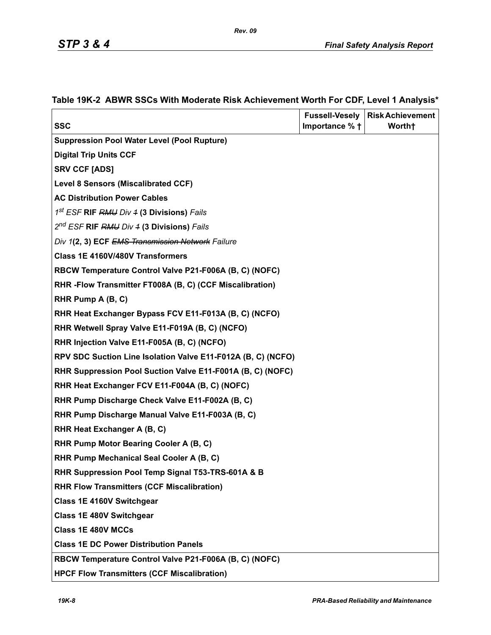| <b>SSC</b>                                                   | <b>Fussell-Vesely</b><br>Importance % + | <b>Risk Achievement</b><br>Worth+ |
|--------------------------------------------------------------|-----------------------------------------|-----------------------------------|
| <b>Suppression Pool Water Level (Pool Rupture)</b>           |                                         |                                   |
| <b>Digital Trip Units CCF</b>                                |                                         |                                   |
| <b>SRV CCF [ADS]</b>                                         |                                         |                                   |
| <b>Level 8 Sensors (Miscalibrated CCF)</b>                   |                                         |                                   |
| <b>AC Distribution Power Cables</b>                          |                                         |                                   |
| 1 <sup>st</sup> ESF <b>RIF</b> RMU Div 4 (3 Divisions) Fails |                                         |                                   |
| 2 <sup>nd</sup> ESF RIF RMU Div 4 (3 Divisions) Fails        |                                         |                                   |
| Div 1(2, 3) ECF EMS Transmission Network Failure             |                                         |                                   |
| Class 1E 4160V/480V Transformers                             |                                         |                                   |
| RBCW Temperature Control Valve P21-F006A (B, C) (NOFC)       |                                         |                                   |
| RHR-Flow Transmitter FT008A (B, C) (CCF Miscalibration)      |                                         |                                   |
| RHR Pump A (B, C)                                            |                                         |                                   |
| RHR Heat Exchanger Bypass FCV E11-F013A (B, C) (NCFO)        |                                         |                                   |
| RHR Wetwell Spray Valve E11-F019A (B, C) (NCFO)              |                                         |                                   |
| RHR Injection Valve E11-F005A (B, C) (NCFO)                  |                                         |                                   |
| RPV SDC Suction Line Isolation Valve E11-F012A (B, C) (NCFO) |                                         |                                   |
| RHR Suppression Pool Suction Valve E11-F001A (B, C) (NOFC)   |                                         |                                   |
| RHR Heat Exchanger FCV E11-F004A (B, C) (NOFC)               |                                         |                                   |
| RHR Pump Discharge Check Valve E11-F002A (B, C)              |                                         |                                   |
| RHR Pump Discharge Manual Valve E11-F003A (B, C)             |                                         |                                   |
| RHR Heat Exchanger A (B, C)                                  |                                         |                                   |
| RHR Pump Motor Bearing Cooler A (B, C)                       |                                         |                                   |
| RHR Pump Mechanical Seal Cooler A (B, C)                     |                                         |                                   |
| RHR Suppression Pool Temp Signal T53-TRS-601A & B            |                                         |                                   |
| <b>RHR Flow Transmitters (CCF Miscalibration)</b>            |                                         |                                   |
| Class 1E 4160V Switchgear                                    |                                         |                                   |
| Class 1E 480V Switchgear                                     |                                         |                                   |
| <b>Class 1E 480V MCCs</b>                                    |                                         |                                   |
| <b>Class 1E DC Power Distribution Panels</b>                 |                                         |                                   |
| RBCW Temperature Control Valve P21-F006A (B, C) (NOFC)       |                                         |                                   |
| <b>HPCF Flow Transmitters (CCF Miscalibration)</b>           |                                         |                                   |

# **Table 19K-2 ABWR SSCs With Moderate Risk Achievement Worth For CDF, Level 1 Analysis\***

*Rev. 09*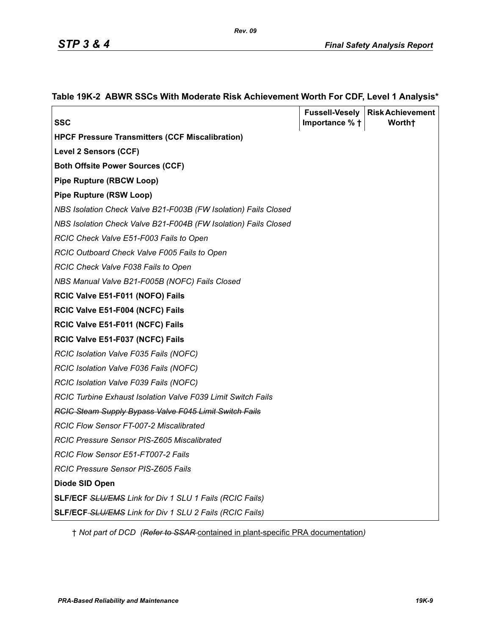|                                                                 |                          | <b>Fussell-Vesely   Risk Achievement</b> |
|-----------------------------------------------------------------|--------------------------|------------------------------------------|
| <b>SSC</b>                                                      | Importance $%$ $\dagger$ | Worth <sup>+</sup>                       |
| <b>HPCF Pressure Transmitters (CCF Miscalibration)</b>          |                          |                                          |
| <b>Level 2 Sensors (CCF)</b>                                    |                          |                                          |
| <b>Both Offsite Power Sources (CCF)</b>                         |                          |                                          |
| <b>Pipe Rupture (RBCW Loop)</b>                                 |                          |                                          |
| <b>Pipe Rupture (RSW Loop)</b>                                  |                          |                                          |
| NBS Isolation Check Valve B21-F003B (FW Isolation) Fails Closed |                          |                                          |
| NBS Isolation Check Valve B21-F004B (FW Isolation) Fails Closed |                          |                                          |
| RCIC Check Valve E51-F003 Fails to Open                         |                          |                                          |
| RCIC Outboard Check Valve F005 Fails to Open                    |                          |                                          |
| RCIC Check Valve F038 Fails to Open                             |                          |                                          |
| NBS Manual Valve B21-F005B (NOFC) Fails Closed                  |                          |                                          |
| RCIC Valve E51-F011 (NOFO) Fails                                |                          |                                          |
| RCIC Valve E51-F004 (NCFC) Fails                                |                          |                                          |
| RCIC Valve E51-F011 (NCFC) Fails                                |                          |                                          |
| RCIC Valve E51-F037 (NCFC) Fails                                |                          |                                          |
| RCIC Isolation Valve F035 Fails (NOFC)                          |                          |                                          |
| RCIC Isolation Valve F036 Fails (NOFC)                          |                          |                                          |
| RCIC Isolation Valve F039 Fails (NOFC)                          |                          |                                          |
| RCIC Turbine Exhaust Isolation Valve F039 Limit Switch Fails    |                          |                                          |
| <b>RCIC Steam Supply Bypass Valve F045 Limit Switch Fails</b>   |                          |                                          |
| <b>RCIC Flow Sensor FT-007-2 Miscalibrated</b>                  |                          |                                          |
| RCIC Pressure Sensor PIS-Z605 Miscalibrated                     |                          |                                          |
| RCIC Flow Sensor E51-FT007-2 Fails                              |                          |                                          |
| RCIC Pressure Sensor PIS-Z605 Fails                             |                          |                                          |
| Diode SID Open                                                  |                          |                                          |
| SLF/ECF SLU/EMS Link for Div 1 SLU 1 Fails (RCIC Fails)         |                          |                                          |
| SLF/ECF-SLU/EMS Link for Div 1 SLU 2 Fails (RCIC Fails)         |                          |                                          |

# **Table 19K-2 ABWR SSCs With Moderate Risk Achievement Worth For CDF, Level 1 Analysis\***

† *Not part of DCD (Refer to SSAR* contained in plant-specific PRA documentation*)*

*Rev. 09*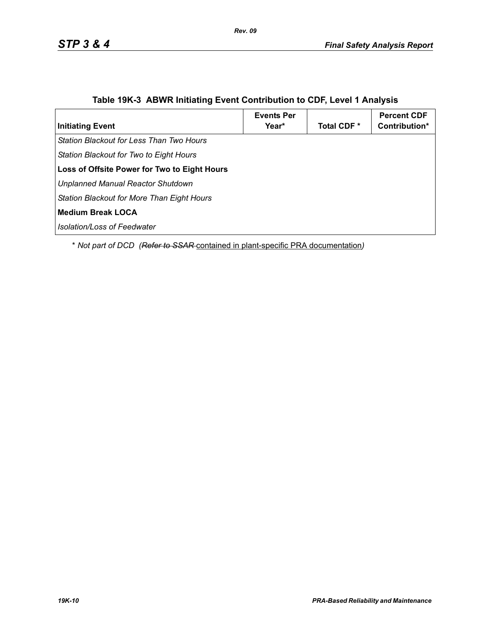| <b>Initiating Event</b>                             | <b>Events Per</b><br>Year* | Total CDF * | <b>Percent CDF</b><br>Contribution* |
|-----------------------------------------------------|----------------------------|-------------|-------------------------------------|
| Station Blackout for Less Than Two Hours            |                            |             |                                     |
| Station Blackout for Two to Eight Hours             |                            |             |                                     |
| <b>Loss of Offsite Power for Two to Eight Hours</b> |                            |             |                                     |
| Unplanned Manual Reactor Shutdown                   |                            |             |                                     |
| Station Blackout for More Than Eight Hours          |                            |             |                                     |
| <b>Medium Break LOCA</b>                            |                            |             |                                     |
| l Isolation/Loss of Feedwater                       |                            |             |                                     |

# **Table 19K-3 ABWR Initiating Event Contribution to CDF, Level 1 Analysis**

\* *Not part of DCD (Refer to SSAR* contained in plant-specific PRA documentation*)*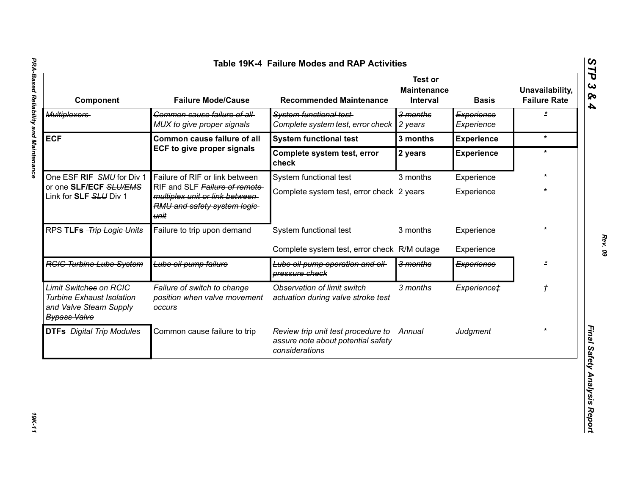|                                                                                                             |                                                                                                          | Table 19K-4 Failure Modes and RAP Activities                                               | <b>Test or</b>                 |                          |                                        |
|-------------------------------------------------------------------------------------------------------------|----------------------------------------------------------------------------------------------------------|--------------------------------------------------------------------------------------------|--------------------------------|--------------------------|----------------------------------------|
| Component                                                                                                   | <b>Failure Mode/Cause</b>                                                                                | <b>Recommended Maintenance</b>                                                             | <b>Maintenance</b><br>Interval | <b>Basis</b>             | Unavailability,<br><b>Failure Rate</b> |
| <b>Multiplexers</b>                                                                                         | Common cause failure of all-<br>MUX to give proper signals                                               | System functional test-<br>Complete system test, error check                               | 3 months<br>2 years            | Experience<br>Experience | $\overline{1}$                         |
| <b>ECF</b>                                                                                                  | <b>Common cause failure of all</b>                                                                       | <b>System functional test</b>                                                              | 3 months                       | <b>Experience</b>        | $\star$                                |
|                                                                                                             | <b>ECF to give proper signals</b>                                                                        | Complete system test, error<br>check                                                       | 2 years                        | <b>Experience</b>        | $\star$                                |
| One ESF RIF SMU for Div 1                                                                                   | Failure of RIF or link between                                                                           | System functional test                                                                     | 3 months                       | Experience               |                                        |
| or one SLF/ECF SLU/EMS<br>Link for SLF SLU Div 1                                                            | RIF and SLF Failure of remote<br>multiplex unit or link between-<br>RMU and safety system logic-<br>unit | Complete system test, error check 2 years                                                  |                                | Experience               | $\star$                                |
| RPS TLFs -Trip Logic Units                                                                                  | Failure to trip upon demand                                                                              | System functional test                                                                     | 3 months                       | Experience               |                                        |
|                                                                                                             |                                                                                                          | Complete system test, error check R/M outage                                               |                                | Experience               |                                        |
| <b>RGIG Turbine Lube System</b>                                                                             | Lube oil pump failure                                                                                    | Lube oil pump operation and oil-<br>pressure check                                         | 3 months                       | Experience               | $\star$                                |
| Limit Switches on RCIC<br><b>Turbine Exhaust Isolation</b><br>and Valve Steam Supply<br><b>Bypass Valve</b> | Failure of switch to change<br>position when valve movement<br><b>OCCUIS</b>                             | Observation of limit switch<br>actuation during valve stroke test                          | 3 months                       | Experience‡              | $\mathcal{L}_{\mathcal{L}}$            |
| <b>DTFs Digital Trip Modules</b>                                                                            | Common cause failure to trip                                                                             | Review trip unit test procedure to<br>assure note about potential safety<br>considerations | Annual                         | Judgment                 |                                        |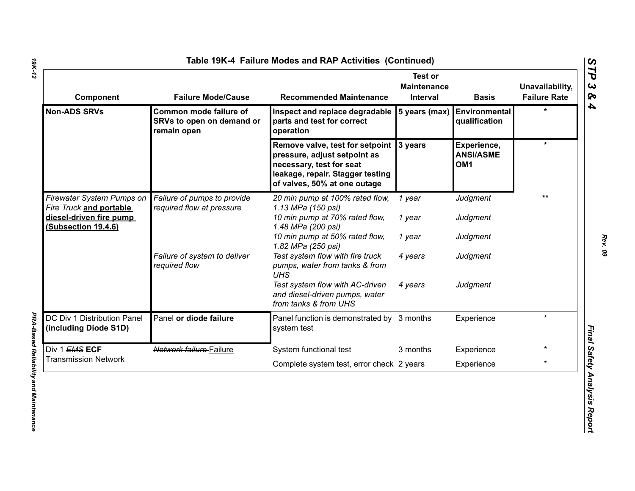| <b>Component</b>                                     | <b>Failure Mode/Cause</b>                                          | <b>Recommended Maintenance</b>                                                                                                                                          | <b>Test or</b><br><b>Maintenance</b><br>Interval | <b>Basis</b>                                       | Unavailability,<br><b>Failure Rate</b> |
|------------------------------------------------------|--------------------------------------------------------------------|-------------------------------------------------------------------------------------------------------------------------------------------------------------------------|--------------------------------------------------|----------------------------------------------------|----------------------------------------|
| <b>Non-ADS SRVs</b>                                  | Common mode failure of<br>SRVs to open on demand or<br>remain open | Inspect and replace degradable<br>parts and test for correct<br>operation                                                                                               | 5 years (max)                                    | Environmental<br>qualification                     |                                        |
|                                                      |                                                                    | Remove valve, test for setpoint 3 years<br>pressure, adjust setpoint as<br>necessary, test for seat<br>leakage, repair. Stagger testing<br>of valves, 50% at one outage |                                                  | Experience,<br><b>ANSI/ASME</b><br>OM <sub>1</sub> | $\star$                                |
| Firewater System Pumps on<br>Fire Truck and portable | Failure of pumps to provide<br>required flow at pressure           | 20 min pump at 100% rated flow,<br>1.13 MPa (150 psi)                                                                                                                   | 1 year                                           | Judgment                                           | **                                     |
| diesel-driven fire pump<br>(Subsection 19.4.6)       |                                                                    | 10 min pump at 70% rated flow,<br>1.48 MPa (200 psi)                                                                                                                    | 1 year                                           | Judgment                                           |                                        |
|                                                      |                                                                    | 10 min pump at 50% rated flow,<br>1.82 MPa (250 psi)                                                                                                                    | 1 year                                           | Judgment                                           |                                        |
|                                                      | Failure of system to deliver<br>required flow                      | Test system flow with fire truck<br>pumps, water from tanks & from<br><b>UHS</b>                                                                                        | 4 years                                          | Judgment                                           |                                        |
|                                                      |                                                                    | Test system flow with AC-driven<br>and diesel-driven pumps, water<br>from tanks & from UHS                                                                              | 4 years                                          | Judgment                                           |                                        |
| DC Div 1 Distribution Panel<br>(including Diode S1D) | Panel or diode failure                                             | Panel function is demonstrated by 3 months<br>system test                                                                                                               |                                                  | Experience                                         | $\star$                                |
| Div 1 EMS ECF                                        | Network failure Failure                                            | System functional test                                                                                                                                                  | 3 months                                         | Experience                                         |                                        |
| <b>Transmission Network</b>                          |                                                                    | Complete system test, error check 2 years                                                                                                                               |                                                  | Experience                                         | $\star$                                |

*19K-12*

*PRA-Based Reliability and Maintenance* 

**PRA-Based Reliability and Maintenance**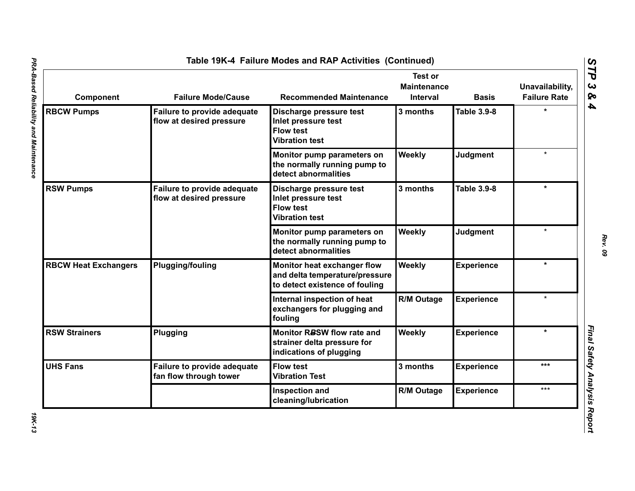| Component                   | <b>Failure Mode/Cause</b>                                      | <b>Recommended Maintenance</b>                                                                  | <b>Test or</b><br><b>Maintenance</b><br>Interval | <b>Basis</b>       | Unavailability,<br><b>Failure Rate</b> |
|-----------------------------|----------------------------------------------------------------|-------------------------------------------------------------------------------------------------|--------------------------------------------------|--------------------|----------------------------------------|
| <b>RBCW Pumps</b>           | Failure to provide adequate<br>flow at desired pressure        | Discharge pressure test<br>Inlet pressure test<br><b>Flow test</b><br><b>Vibration test</b>     | 3 months                                         | <b>Table 3.9-8</b> |                                        |
|                             |                                                                | Monitor pump parameters on<br>the normally running pump to<br>detect abnormalities              | Weekly                                           | <b>Judgment</b>    | $\star$                                |
| <b>RSW Pumps</b>            | <b>Failure to provide adequate</b><br>flow at desired pressure | Discharge pressure test<br>Inlet pressure test<br><b>Flow test</b><br><b>Vibration test</b>     | 3 months                                         | <b>Table 3.9-8</b> | $\star$                                |
|                             |                                                                | Monitor pump parameters on<br>the normally running pump to<br>detect abnormalities              | Weekly                                           | <b>Judgment</b>    | $\star$                                |
| <b>RBCW Heat Exchangers</b> | <b>Plugging/fouling</b>                                        | Monitor heat exchanger flow<br>and delta temperature/pressure<br>to detect existence of fouling | Weekly                                           | <b>Experience</b>  | $\star$                                |
|                             |                                                                | Internal inspection of heat<br>exchangers for plugging and<br>fouling                           | <b>R/M Outage</b>                                | <b>Experience</b>  |                                        |
| <b>RSW Strainers</b>        | Plugging                                                       | Monitor RBSW flow rate and<br>strainer delta pressure for<br>indications of plugging            | Weekly                                           | <b>Experience</b>  | $\star$                                |
| <b>UHS Fans</b>             | Failure to provide adequate<br>fan flow through tower          | <b>Flow test</b><br><b>Vibration Test</b>                                                       | 3 months                                         | <b>Experience</b>  | ***                                    |
|                             |                                                                | Inspection and<br>cleaning/lubrication                                                          | <b>R/M Outage</b>                                | <b>Experience</b>  | ***                                    |

*Rev. 09*

**19K-13**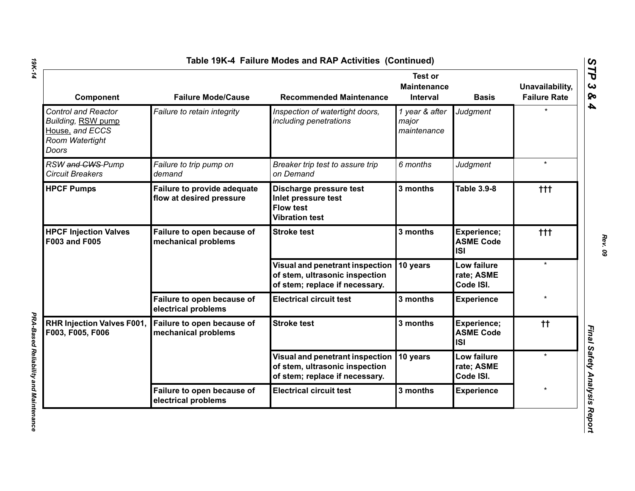| <b>Component</b>                                                                                | <b>Failure Mode/Cause</b>                               | <b>Recommended Maintenance</b>                                                                      | <b>Test or</b><br><b>Maintenance</b><br>Interval | <b>Basis</b>                                  | Unavailability,<br><b>Failure Rate</b> |
|-------------------------------------------------------------------------------------------------|---------------------------------------------------------|-----------------------------------------------------------------------------------------------------|--------------------------------------------------|-----------------------------------------------|----------------------------------------|
| <b>Control and Reactor</b><br>Building, RSW pump<br>House, and ECCS<br>Room Watertight<br>Doors | Failure to retain integrity                             | Inspection of watertight doors,<br>including penetrations                                           | 1 year & after<br>major<br>maintenance           | Judgment                                      |                                        |
| RSW and CWS-Pump<br><b>Circuit Breakers</b>                                                     | Failure to trip pump on<br>demand                       | Breaker trip test to assure trip<br>on Demand                                                       | 6 months                                         | Judgment                                      | $\star$                                |
| <b>HPCF Pumps</b>                                                                               | Failure to provide adequate<br>flow at desired pressure | Discharge pressure test<br>Inlet pressure test<br><b>Flow test</b><br><b>Vibration test</b>         | 3 months                                         | <b>Table 3.9-8</b>                            | ttt                                    |
| <b>HPCF Injection Valves</b><br><b>F003 and F005</b>                                            | Failure to open because of<br>mechanical problems       | <b>Stroke test</b>                                                                                  | 3 months                                         | Experience;<br><b>ASME Code</b><br><b>ISI</b> | $+ + +$                                |
|                                                                                                 |                                                         | Visual and penetrant inspection<br>of stem, ultrasonic inspection<br>of stem; replace if necessary. | 10 years                                         | Low failure<br>rate; ASME<br>Code ISI.        | $\star$                                |
|                                                                                                 | Failure to open because of<br>electrical problems       | <b>Electrical circuit test</b>                                                                      | 3 months                                         | <b>Experience</b>                             |                                        |
| <b>RHR Injection Valves F001,</b><br>F003, F005, F006                                           | Failure to open because of<br>mechanical problems       | <b>Stroke test</b>                                                                                  | 3 months                                         | Experience;<br><b>ASME Code</b><br><b>ISI</b> | $^{\dagger\dagger}$                    |
|                                                                                                 |                                                         | Visual and penetrant inspection<br>of stem, ultrasonic inspection<br>of stem; replace if necessary. | 10 years                                         | Low failure<br>rate; ASME<br>Code ISI.        | $\star$                                |
|                                                                                                 | Failure to open because of<br>electrical problems       | <b>Electrical circuit test</b>                                                                      | 3 months                                         | <b>Experience</b>                             |                                        |

*PRA-Based Reliability and Maintenance* 

**PRA-Based Reliability and Maintenance** 

*STP 3 & 4*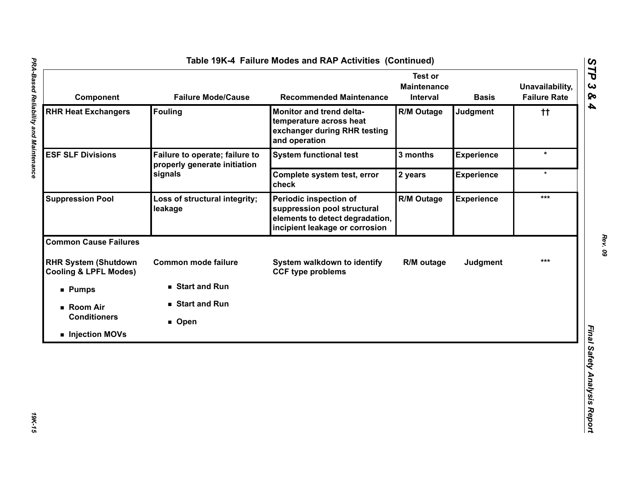| Component                                                       | <b>Failure Mode/Cause</b>                                      | <b>Recommended Maintenance</b>                                                                                             | <b>Test or</b><br><b>Maintenance</b><br>Interval | <b>Basis</b>      | Unavailability,<br><b>Failure Rate</b> |
|-----------------------------------------------------------------|----------------------------------------------------------------|----------------------------------------------------------------------------------------------------------------------------|--------------------------------------------------|-------------------|----------------------------------------|
| <b>RHR Heat Exchangers</b>                                      | <b>Fouling</b>                                                 | Monitor and trend delta-<br>temperature across heat<br>exchanger during RHR testing<br>and operation                       | <b>R/M Outage</b>                                | Judgment          | $^{\dagger\dagger}$                    |
| <b>ESF SLF Divisions</b>                                        | Failure to operate; failure to<br>properly generate initiation | <b>System functional test</b>                                                                                              | 3 months                                         | <b>Experience</b> | $\star$                                |
|                                                                 | signals                                                        | Complete system test, error<br>check                                                                                       | 2 years                                          | <b>Experience</b> | $\star$                                |
| <b>Suppression Pool</b>                                         | Loss of structural integrity;<br>leakage                       | Periodic inspection of<br>suppression pool structural<br>elements to detect degradation,<br>incipient leakage or corrosion | <b>R/M Outage</b>                                | <b>Experience</b> | ***                                    |
| <b>Common Cause Failures</b>                                    |                                                                |                                                                                                                            |                                                  |                   |                                        |
| <b>RHR System (Shutdown</b><br><b>Cooling &amp; LPFL Modes)</b> | <b>Common mode failure</b>                                     | System walkdown to identify<br><b>CCF type problems</b>                                                                    | R/M outage                                       | <b>Judgment</b>   | $***$                                  |
| <b>Pumps</b>                                                    | Start and Run                                                  |                                                                                                                            |                                                  |                   |                                        |
| ■ Room Air                                                      | ■ Start and Run                                                |                                                                                                                            |                                                  |                   |                                        |
| <b>Conditioners</b>                                             | ■ Open                                                         |                                                                                                                            |                                                  |                   |                                        |
| Injection MOVs                                                  |                                                                |                                                                                                                            |                                                  |                   |                                        |

t

*STP 3 & 4*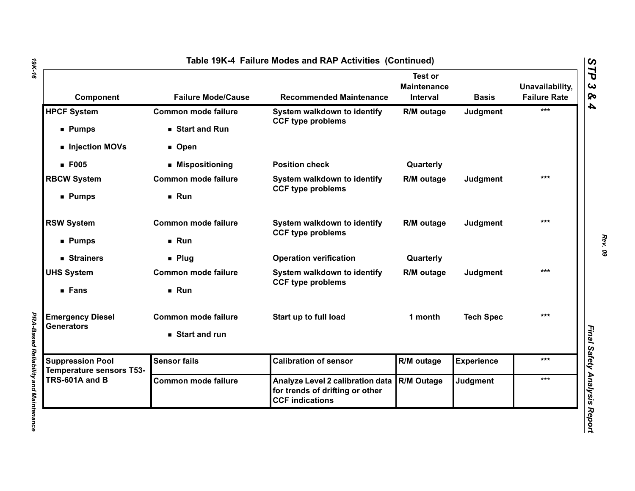| Component                                                  | <b>Failure Mode/Cause</b>  | <b>Recommended Maintenance</b>                                                                | <b>Test or</b><br><b>Maintenance</b><br>Interval | <b>Basis</b>      | Unavailability,<br><b>Failure Rate</b> |
|------------------------------------------------------------|----------------------------|-----------------------------------------------------------------------------------------------|--------------------------------------------------|-------------------|----------------------------------------|
| <b>HPCF System</b>                                         | <b>Common mode failure</b> | System walkdown to identify<br><b>CCF type problems</b>                                       | R/M outage                                       | Judgment          | ***                                    |
| <b>Pumps</b>                                               | Start and Run              |                                                                                               |                                                  |                   |                                        |
| Injection MOVs                                             | ■ Open                     |                                                                                               |                                                  |                   |                                        |
| <b>F005</b>                                                | ■ Mispositioning           | <b>Position check</b>                                                                         | Quarterly                                        |                   |                                        |
| <b>RBCW System</b>                                         | <b>Common mode failure</b> | System walkdown to identify<br><b>CCF type problems</b>                                       | R/M outage                                       | Judgment          | ***                                    |
| ■ Pumps                                                    | Run                        |                                                                                               |                                                  |                   |                                        |
| <b>RSW System</b>                                          | <b>Common mode failure</b> | System walkdown to identify<br><b>CCF type problems</b>                                       | R/M outage                                       | Judgment          | $***$                                  |
| ■ Pumps                                                    | Run                        |                                                                                               |                                                  |                   |                                        |
| ■ Strainers                                                | $\blacksquare$ Plug        | <b>Operation verification</b>                                                                 | Quarterly                                        |                   |                                        |
| <b>UHS System</b>                                          | <b>Common mode failure</b> | System walkdown to identify                                                                   | R/M outage                                       | Judgment          | $***$                                  |
| ■ Fans                                                     | Run                        | <b>CCF type problems</b>                                                                      |                                                  |                   |                                        |
| <b>Emergency Diesel</b>                                    | <b>Common mode failure</b> | Start up to full load                                                                         | 1 month                                          | <b>Tech Spec</b>  | $***$                                  |
| <b>Generators</b>                                          | Start and run              |                                                                                               |                                                  |                   |                                        |
| <b>Suppression Pool</b><br><b>Temperature sensors T53-</b> | <b>Sensor fails</b>        | <b>Calibration of sensor</b>                                                                  | R/M outage                                       | <b>Experience</b> | ***                                    |
| TRS-601A and B                                             | <b>Common mode failure</b> | Analyze Level 2 calibration data<br>for trends of drifting or other<br><b>CCF indications</b> | R/M Outage                                       | <b>Judgment</b>   | $***$                                  |

*19K-16*

*PRA-Based Reliability and Maintenance* 

**PRA-Based Reliability and Maintenance**